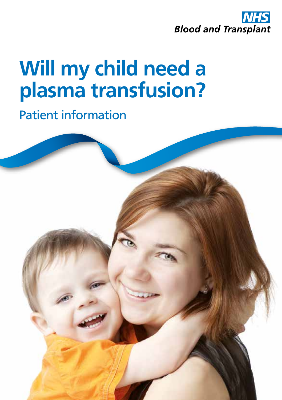

# **Will my child need a plasma transfusion?**

Patient information

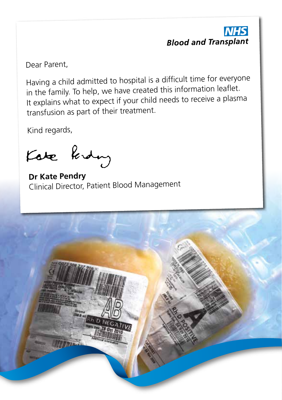

Dear Parent,

Having a child admitted to hospital is a difficult time for everyone in the family. To help, we have created this information leaflet. It explains what to expect if your child needs to receive a plasma transfusion as part of their treatment.

Kind regards,

Kate Ridy

**Dr Kate Pendry** Clinical Director, Patient Blood Management

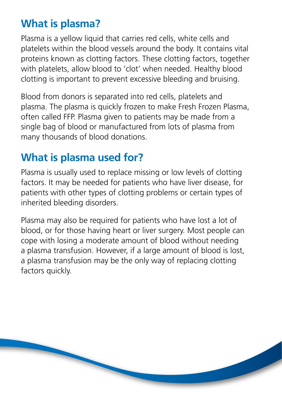## **What is plasma?**

Plasma is a yellow liquid that carries red cells, white cells and platelets within the blood vessels around the body. It contains vital proteins known as clotting factors. These clotting factors, together with platelets, allow blood to 'clot' when needed. Healthy blood clotting is important to prevent excessive bleeding and bruising.

Blood from donors is separated into red cells, platelets and plasma. The plasma is quickly frozen to make Fresh Frozen Plasma, often called FFP. Plasma given to patients may be made from a single bag of blood or manufactured from lots of plasma from many thousands of blood donations.

# **What is plasma used for?**

Plasma is usually used to replace missing or low levels of clotting factors. It may be needed for patients who have liver disease, for patients with other types of clotting problems or certain types of inherited bleeding disorders.

Plasma may also be required for patients who have lost a lot of blood, or for those having heart or liver surgery. Most people can cope with losing a moderate amount of blood without needing a plasma transfusion. However, if a large amount of blood is lost, a plasma transfusion may be the only way of replacing clotting factors quickly.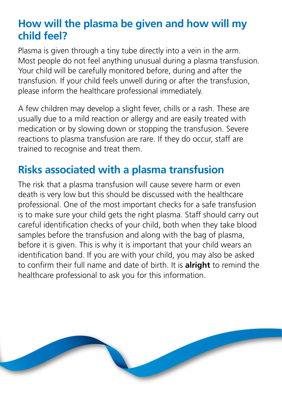## **How will the plasma be given and how will my child feel?**

Plasma is given through a tiny tube directly into a vein in the arm. Most people do not feel anything unusual during a plasma transfusion. Your child will be carefully monitored before, during and after the transfusion. If your child feels unwell during or after the transfusion, please inform the healthcare professional immediately.

A few children may develop a slight fever, chills or a rash. These are usually due to a mild reaction or allergy and are easily treated with medication or by slowing down or stopping the transfusion. Severe reactions to plasma transfusion are rare. If they do occur, staff are trained to recognise and treat them.

## **Risks associated with a plasma transfusion**

The risk that a plasma transfusion will cause severe harm or even death is very low but this should be discussed with the healthcare professional. One of the most important checks for a safe transfusion is to make sure your child gets the right plasma. Staff should carry out careful identification checks of your child, both when they take blood samples before the transfusion and along with the bag of plasma, before it is given. This is why it is important that your child wears an identification band. If you are with your child, you may also be asked to confirm their full name and date of birth. It is **alright** to remind the healthcare professional to ask you for this information.

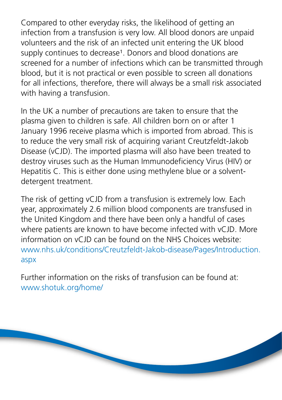Compared to other everyday risks, the likelihood of getting an infection from a transfusion is very low. All blood donors are unpaid volunteers and the risk of an infected unit entering the UK blood supply continues to decrease<sup>1</sup>. Donors and blood donations are screened for a number of infections which can be transmitted through blood, but it is not practical or even possible to screen all donations for all infections, therefore, there will always be a small risk associated with having a transfusion.

In the UK a number of precautions are taken to ensure that the plasma given to children is safe. All children born on or after 1 January 1996 receive plasma which is imported from abroad. This is to reduce the very small risk of acquiring variant Creutzfeldt-Jakob Disease (vCJD). The imported plasma will also have been treated to destroy viruses such as the Human Immunodeficiency Virus (HIV) or Hepatitis C. This is either done using methylene blue or a solventdetergent treatment.

The risk of getting vCJD from a transfusion is extremely low. Each year, approximately 2.6 million blood components are transfused in the United Kingdom and there have been only a handful of cases where patients are known to have become infected with vCJD. More information on vCJD can be found on the NHS Choices website: www.nhs.uk/conditions/Creutzfeldt-Jakob-disease/Pages/Introduction. aspx

Further information on the risks of transfusion can be found at: www.shotuk.org/home/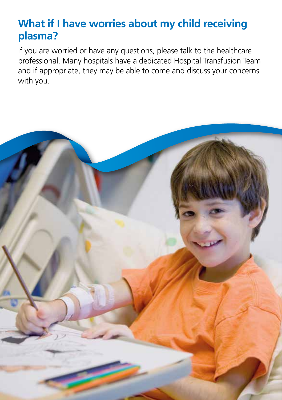## **What if I have worries about my child receiving plasma?**

If you are worried or have any questions, please talk to the healthcare professional. Many hospitals have a dedicated Hospital Transfusion Team and if appropriate, they may be able to come and discuss your concerns with you.

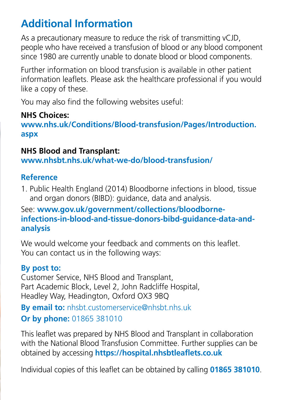# **Additional Information**

As a precautionary measure to reduce the risk of transmitting vCJD, people who have received a transfusion of blood or any blood component since 1980 are currently unable to donate blood or blood components.

Further information on blood transfusion is available in other patient information leaflets. Please ask the healthcare professional if you would like a copy of these.

You may also find the following websites useful:

### **NHS Choices:**

**www.nhs.uk/Conditions/Blood-transfusion/Pages/Introduction. aspx**

#### **NHS Blood and Transplant:**

**www.nhsbt.nhs.uk/what-we-do/blood-transfusion/**

### **Reference**

1. Public Health England (2014) Bloodborne infections in blood, tissue and organ donors (BIBD): guidance, data and analysis.

### See: **www.gov.uk/government/collections/bloodborneinfections-in-blood-and-tissue-donors-bibd-guidance-data-andanalysis**

We would welcome your feedback and comments on this leaflet. You can contact us in the following ways:

### **By post to:**

Customer Service, NHS Blood and Transplant, Part Academic Block, Level 2, John Radcliffe Hospital, Headley Way, Headington, Oxford OX3 9BQ

## **By email to:** nhsbt.customerservice@nhsbt.nhs.uk **Or by phone:** 01865 381010

This leaflet was prepared by NHS Blood and Transplant in collaboration with the National Blood Transfusion Committee. Further supplies can be obtained by accessing **https://hospital.nhsbtleaflets.co.uk**

Individual copies of this leaflet can be obtained by calling **01865 381010**.